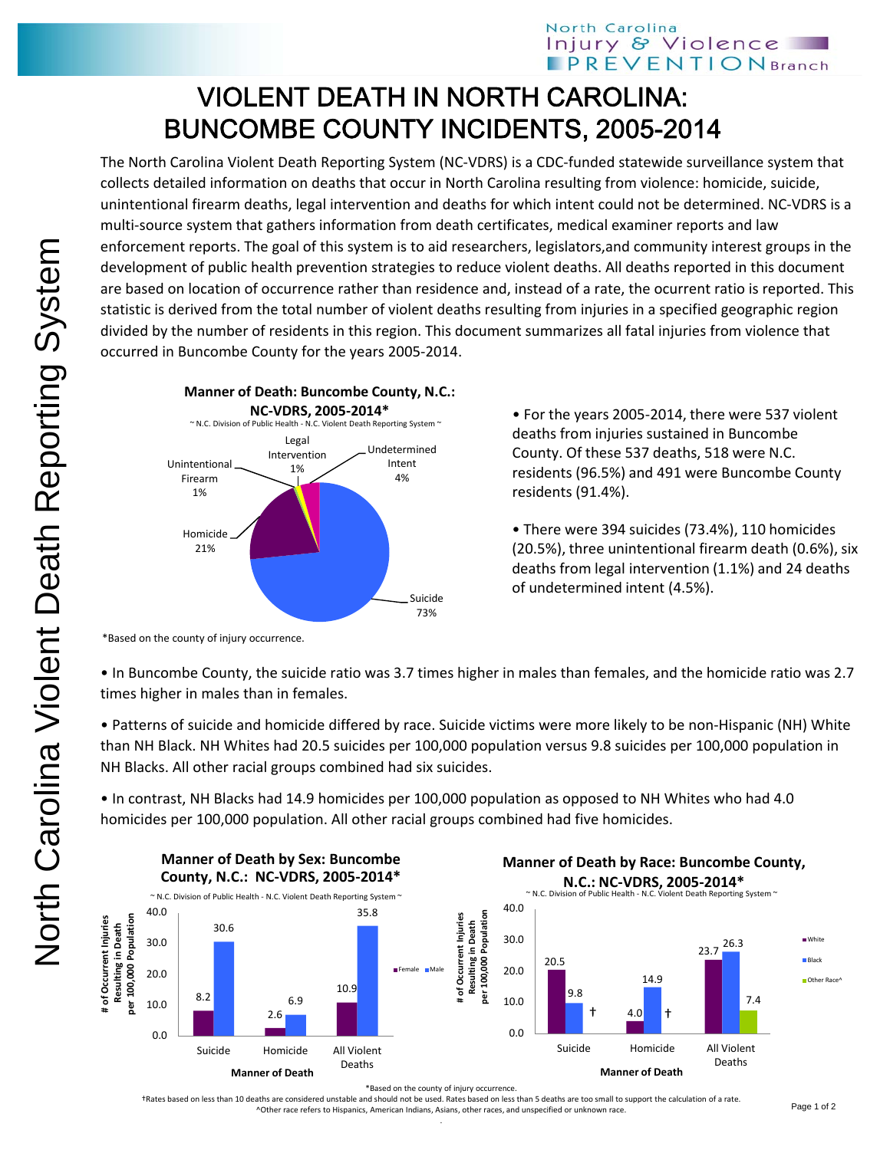## VIOLENT DEATH IN NORTH CAROLINA: BUNCOMBE COUNTY INCIDENTS, 2005-2014

The North Carolina Violent Death Reporting System (NC‐VDRS) is a CDC‐funded statewide surveillance system that collects detailed information on deaths that occur in North Carolina resulting from violence: homicide, suicide, unintentional firearm deaths, legal intervention and deaths for which intent could not be determined. NC‐VDRS is a multi-source system that gathers information from death certificates, medical examiner reports and law enforcement reports. The goal of this system is to aid researchers, legislators,and community interest groups in the development of public health prevention strategies to reduce violent deaths. All deaths reported in this document are based on location of occurrence rather than residence and, instead of a rate, the ocurrent ratio is reported. This statistic is derived from the total number of violent deaths resulting from injuries in a specified geographic region divided by the number of residents in this region. This document summarizes all fatal injuries from violence that occurred in Buncombe County for the years 2005‐2014.



• For the years 2005‐2014, there were 537 violent deaths from injuries sustained in Buncombe County. Of these 537 deaths, 518 were N.C. residents (96.5%) and 491 were Buncombe County residents (91.4%).

• There were 394 suicides (73.4%), 110 homicides (20.5%), three unintentional firearm death (0.6%), six deaths from legal intervention (1.1%) and 24 deaths of undetermined intent (4.5%).

• In Buncombe County, the suicide ratio was 3.7 times higher in males than females, and the homicide ratio was 2.7 times higher in males than in females.

• Patterns of suicide and homicide differed by race. Suicide victims were more likely to be non‐Hispanic (NH) White than NH Black. NH Whites had 20.5 suicides per 100,000 population versus 9.8 suicides per 100,000 population in NH Blacks. All other racial groups combined had six suicides.

• In contrast, NH Blacks had 14.9 homicides per 100,000 population as opposed to NH Whites who had 4.0 homicides per 100,000 population. All other racial groups combined had five homicides.



\*Based on the county of injury occurrence.

†Rates based on less than 10 deaths are considered unstable and should not be used. Rates based on less than 5 deaths are too small to support the calculation of a rate. ^Other race refers to Hispanics, American Indians, Asians, other races, and unspecified or unknown race. .

<sup>\*</sup>Based on the county of injury occurrence.